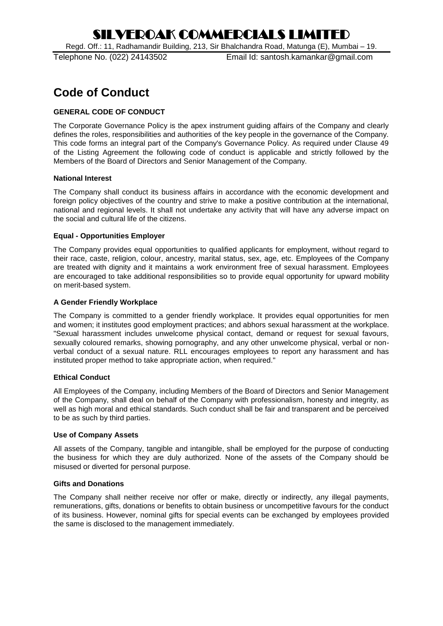Regd. Off.: 11, Radhamandir Building, 213, Sir Bhalchandra Road, Matunga (E), Mumbai – 19.

Telephone No. (022) 24143502 Email Id: santosh.kamankar@gmail.com

## **Code of Conduct**

## **GENERAL CODE OF CONDUCT**

The Corporate Governance Policy is the apex instrument guiding affairs of the Company and clearly defines the roles, responsibilities and authorities of the key people in the governance of the Company. This code forms an integral part of the Company's Governance Policy. As required under Clause 49 of the Listing Agreement the following code of conduct is applicable and strictly followed by the Members of the Board of Directors and Senior Management of the Company.

#### **National Interest**

The Company shall conduct its business affairs in accordance with the economic development and foreign policy objectives of the country and strive to make a positive contribution at the international, national and regional levels. It shall not undertake any activity that will have any adverse impact on the social and cultural life of the citizens.

#### **Equal - Opportunities Employer**

The Company provides equal opportunities to qualified applicants for employment, without regard to their race, caste, religion, colour, ancestry, marital status, sex, age, etc. Employees of the Company are treated with dignity and it maintains a work environment free of sexual harassment. Employees are encouraged to take additional responsibilities so to provide equal opportunity for upward mobility on merit-based system.

#### **A Gender Friendly Workplace**

The Company is committed to a gender friendly workplace. It provides equal opportunities for men and women; it institutes good employment practices; and abhors sexual harassment at the workplace. "Sexual harassment includes unwelcome physical contact, demand or request for sexual favours, sexually coloured remarks, showing pornography, and any other unwelcome physical, verbal or nonverbal conduct of a sexual nature. RLL encourages employees to report any harassment and has instituted proper method to take appropriate action, when required."

## **Ethical Conduct**

All Employees of the Company, including Members of the Board of Directors and Senior Management of the Company, shall deal on behalf of the Company with professionalism, honesty and integrity, as well as high moral and ethical standards. Such conduct shall be fair and transparent and be perceived to be as such by third parties.

## **Use of Company Assets**

All assets of the Company, tangible and intangible, shall be employed for the purpose of conducting the business for which they are duly authorized. None of the assets of the Company should be misused or diverted for personal purpose.

#### **Gifts and Donations**

The Company shall neither receive nor offer or make, directly or indirectly, any illegal payments, remunerations, gifts, donations or benefits to obtain business or uncompetitive favours for the conduct of its business. However, nominal gifts for special events can be exchanged by employees provided the same is disclosed to the management immediately.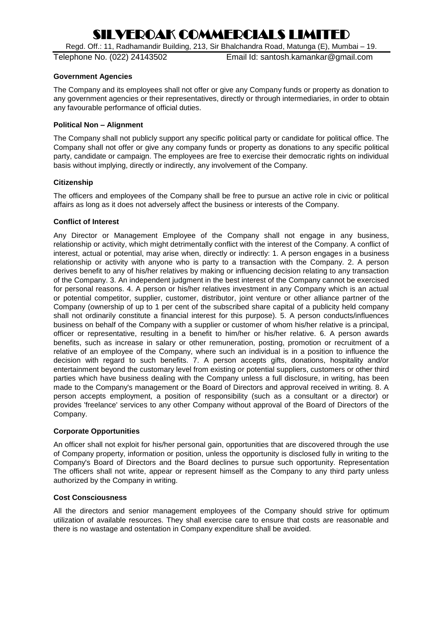Regd. Off.: 11, Radhamandir Building, 213, Sir Bhalchandra Road, Matunga (E), Mumbai – 19.

Telephone No. (022) 24143502 Email Id: santosh.kamankar@gmail.com

### **Government Agencies**

The Company and its employees shall not offer or give any Company funds or property as donation to any government agencies or their representatives, directly or through intermediaries, in order to obtain any favourable performance of official duties.

### **Political Non – Alignment**

The Company shall not publicly support any specific political party or candidate for political office. The Company shall not offer or give any company funds or property as donations to any specific political party, candidate or campaign. The employees are free to exercise their democratic rights on individual basis without implying, directly or indirectly, any involvement of the Company.

#### **Citizenship**

The officers and employees of the Company shall be free to pursue an active role in civic or political affairs as long as it does not adversely affect the business or interests of the Company.

## **Conflict of Interest**

Any Director or Management Employee of the Company shall not engage in any business, relationship or activity, which might detrimentally conflict with the interest of the Company. A conflict of interest, actual or potential, may arise when, directly or indirectly: 1. A person engages in a business relationship or activity with anyone who is party to a transaction with the Company. 2. A person derives benefit to any of his/her relatives by making or influencing decision relating to any transaction of the Company. 3. An independent judgment in the best interest of the Company cannot be exercised for personal reasons. 4. A person or his/her relatives investment in any Company which is an actual or potential competitor, supplier, customer, distributor, joint venture or other alliance partner of the Company (ownership of up to 1 per cent of the subscribed share capital of a publicity held company shall not ordinarily constitute a financial interest for this purpose). 5. A person conducts/influences business on behalf of the Company with a supplier or customer of whom his/her relative is a principal, officer or representative, resulting in a benefit to him/her or his/her relative. 6. A person awards benefits, such as increase in salary or other remuneration, posting, promotion or recruitment of a relative of an employee of the Company, where such an individual is in a position to influence the decision with regard to such benefits. 7. A person accepts gifts, donations, hospitality and/or entertainment beyond the customary level from existing or potential suppliers, customers or other third parties which have business dealing with the Company unless a full disclosure, in writing, has been made to the Company's management or the Board of Directors and approval received in writing. 8. A person accepts employment, a position of responsibility (such as a consultant or a director) or provides 'freelance' services to any other Company without approval of the Board of Directors of the Company.

#### **Corporate Opportunities**

An officer shall not exploit for his/her personal gain, opportunities that are discovered through the use of Company property, information or position, unless the opportunity is disclosed fully in writing to the Company's Board of Directors and the Board declines to pursue such opportunity. Representation The officers shall not write, appear or represent himself as the Company to any third party unless authorized by the Company in writing.

## **Cost Consciousness**

All the directors and senior management employees of the Company should strive for optimum utilization of available resources. They shall exercise care to ensure that costs are reasonable and there is no wastage and ostentation in Company expenditure shall be avoided.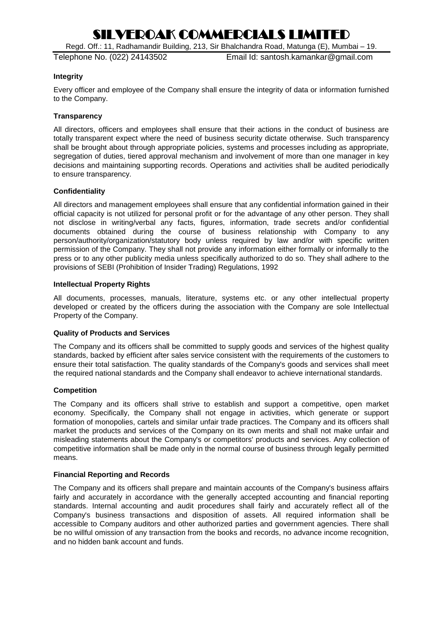Regd. Off.: 11, Radhamandir Building, 213, Sir Bhalchandra Road, Matunga (E), Mumbai – 19.

Telephone No. (022) 24143502 Email Id: santosh.kamankar@gmail.com

### **Integrity**

Every officer and employee of the Company shall ensure the integrity of data or information furnished to the Company.

### **Transparency**

All directors, officers and employees shall ensure that their actions in the conduct of business are totally transparent expect where the need of business security dictate otherwise. Such transparency shall be brought about through appropriate policies, systems and processes including as appropriate, segregation of duties, tiered approval mechanism and involvement of more than one manager in key decisions and maintaining supporting records. Operations and activities shall be audited periodically to ensure transparency.

#### **Confidentiality**

All directors and management employees shall ensure that any confidential information gained in their official capacity is not utilized for personal profit or for the advantage of any other person. They shall not disclose in writing/verbal any facts, figures, information, trade secrets and/or confidential documents obtained during the course of business relationship with Company to any person/authority/organization/statutory body unless required by law and/or with specific written permission of the Company. They shall not provide any information either formally or informally to the press or to any other publicity media unless specifically authorized to do so. They shall adhere to the provisions of SEBI (Prohibition of Insider Trading) Regulations, 1992

#### **Intellectual Property Rights**

All documents, processes, manuals, literature, systems etc. or any other intellectual property developed or created by the officers during the association with the Company are sole Intellectual Property of the Company.

## **Quality of Products and Services**

The Company and its officers shall be committed to supply goods and services of the highest quality standards, backed by efficient after sales service consistent with the requirements of the customers to ensure their total satisfaction. The quality standards of the Company's goods and services shall meet the required national standards and the Company shall endeavor to achieve international standards.

#### **Competition**

The Company and its officers shall strive to establish and support a competitive, open market economy. Specifically, the Company shall not engage in activities, which generate or support formation of monopolies, cartels and similar unfair trade practices. The Company and its officers shall market the products and services of the Company on its own merits and shall not make unfair and misleading statements about the Company's or competitors' products and services. Any collection of competitive information shall be made only in the normal course of business through legally permitted means.

#### **Financial Reporting and Records**

The Company and its officers shall prepare and maintain accounts of the Company's business affairs fairly and accurately in accordance with the generally accepted accounting and financial reporting standards. Internal accounting and audit procedures shall fairly and accurately reflect all of the Company's business transactions and disposition of assets. All required information shall be accessible to Company auditors and other authorized parties and government agencies. There shall be no willful omission of any transaction from the books and records, no advance income recognition, and no hidden bank account and funds.